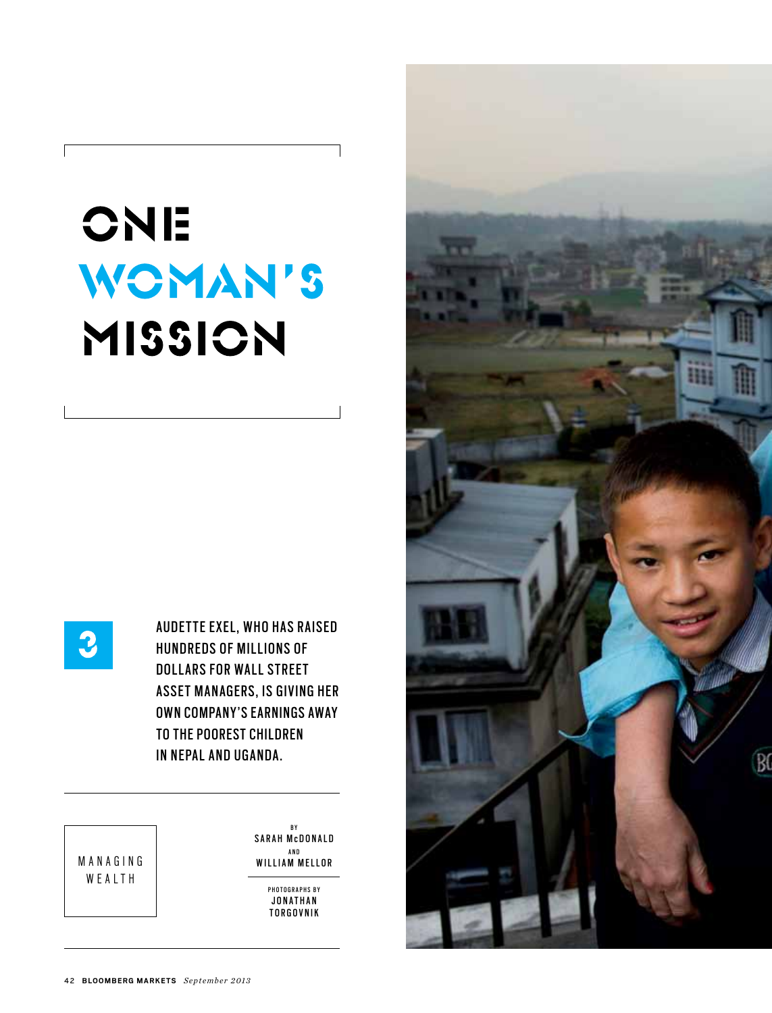# **ONE** WOMAN'S MISSICN



 $\sqrt{ }$ 

AUDETTE EXEL, WHO HAS RAISED **HUNDREDS OF MILLIONS OF** DOLLARS FOR WALL STREET ASSET MANAGERS. IS GIVING HER own company's earnings away to the poorest children IN NEPAL AND UGANDA.

M A N A G I N G W E A L T H

<sub>BY</sub><br>SARAH McDONALD an d WILLIAM MELLOR

> photographs by jonat han torgovnik

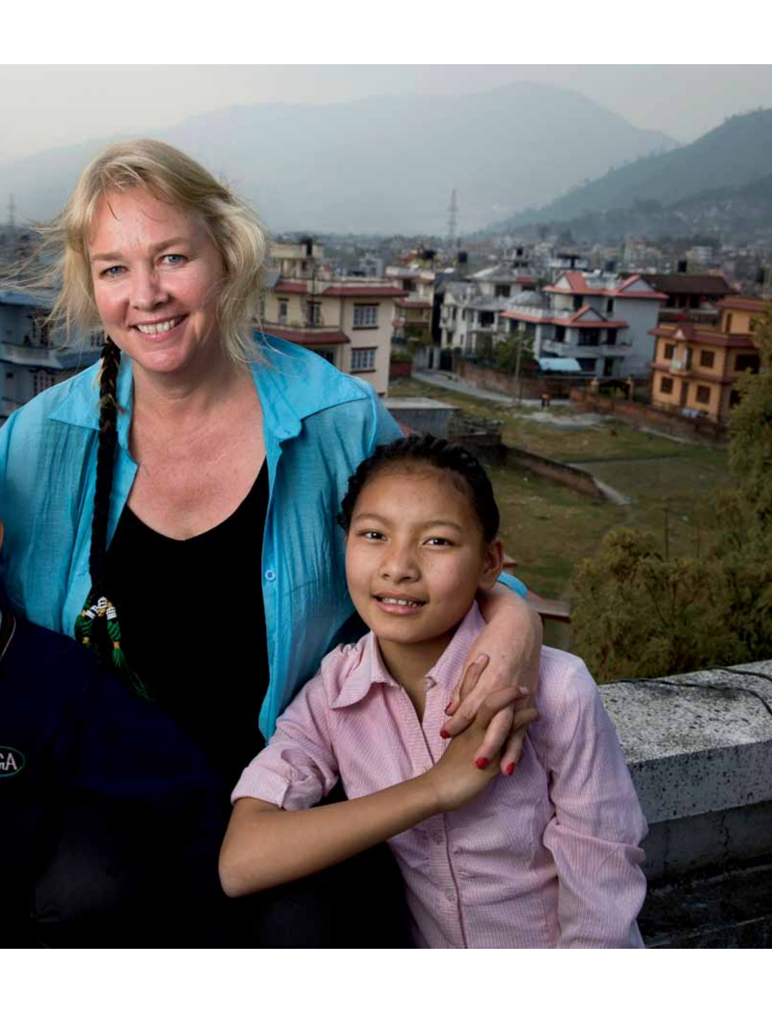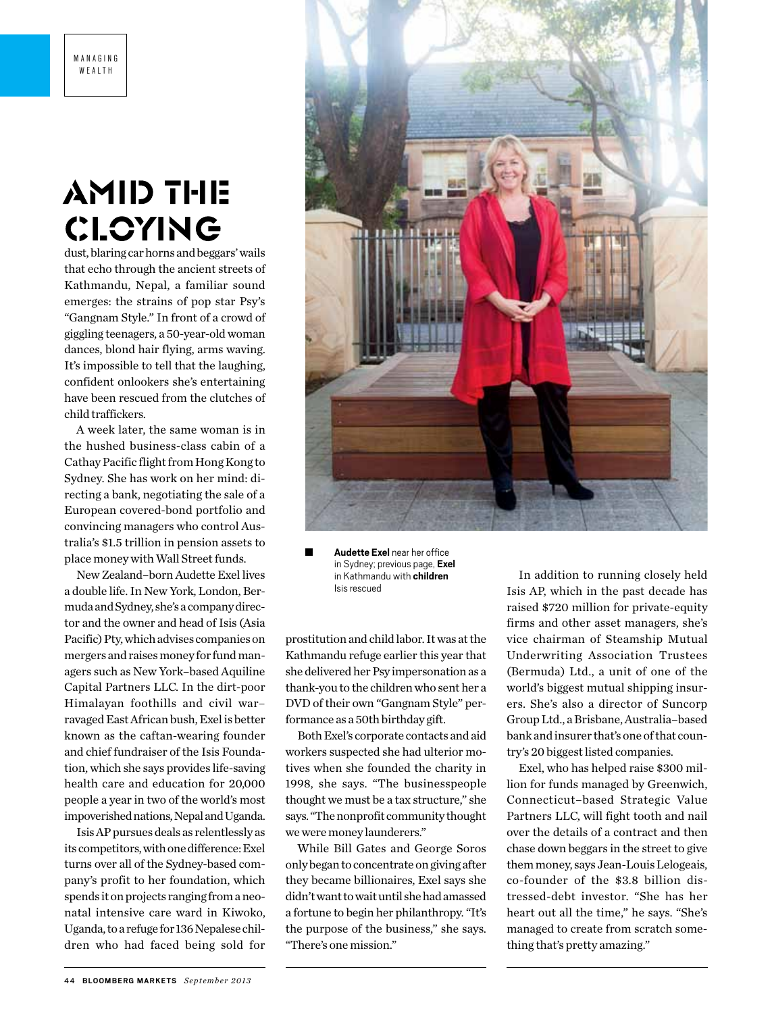## **AMID THE** CLOYING

dust, blaring car horns and beggars' wails that echo through the ancient streets of Kathmandu, Nepal, a familiar sound emerges: the strains of pop star Psy's "Gangnam Style." In front of a crowd of giggling teenagers, a 50-year-old woman dances, blond hair flying, arms waving. It's impossible to tell that the laughing, confident onlookers she's entertaining have been rescued from the clutches of child traffickers.

A week later, the same woman is in the hushed business-class cabin of a Cathay Pacific flight from Hong Kong to Sydney. She has work on her mind: directing a bank, negotiating the sale of a European covered-bond portfolio and convincing managers who control Australia's \$1.5 trillion in pension assets to place money with Wall Street funds.

New Zealand–born Audette Exel lives a double life. In New York, London, Bermuda and Sydney, she's a company director and the owner and head of Isis (Asia Pacific) Pty, which advises companies on mergers and raises money for fund managers such as New York–based Aquiline Capital Partners LLC. In the dirt-poor Himalayan foothills and civil war– ravaged East African bush, Exel is better known as the caftan-wearing founder and chief fundraiser of the Isis Foundation, which she says provides life-saving health care and education for 20,000 people a year in two of the world's most impoverished nations, Nepal and Uganda.

Isis AP pursues deals as relentlessly as its competitors, with one difference: Exel turns over all of the Sydney-based company's profit to her foundation, which spends it on projects ranging from a neonatal intensive care ward in Kiwoko, Uganda, to a refuge for 136 Nepalese children who had faced being sold for



**Audette Exel** near her office in Sydney; previous page, **Exel** in Kathmandu with **children** Isis rescued

prostitution and child labor. It was at the Kathmandu refuge earlier this year that she delivered her Psy impersonation as a thank-you to the children who sent her a DVD of their own "Gangnam Style" performance as a 50th birthday gift.

Both Exel's corporate contacts and aid workers suspected she had ulterior motives when she founded the charity in 1998, she says. "The businesspeople thought we must be a tax structure," she says. "The nonprofit community thought we were money launderers."

While Bill Gates and George Soros only began to concentrate on giving after they became billionaires, Exel says she didn't want to wait until she had amassed a fortune to begin her philanthropy. "It's the purpose of the business," she says. "There's one mission."

In addition to running closely held Isis AP, which in the past decade has raised \$720 million for private-equity firms and other asset managers, she's vice chairman of Steamship Mutual Underwriting Association Trustees (Bermuda) Ltd., a unit of one of the world's biggest mutual shipping insurers. She's also a director of Suncorp Group Ltd., a Brisbane, Australia–based bank and insurer that's one of that country's 20 biggest listed companies.

Exel, who has helped raise \$300 million for funds managed by Greenwich, Connecticut–based Strategic Value Partners LLC, will fight tooth and nail over the details of a contract and then chase down beggars in the street to give them money, says Jean-Louis Lelogeais, co-founder of the \$3.8 billion distressed-debt investor. "She has her heart out all the time," he says. "She's managed to create from scratch something that's pretty amazing."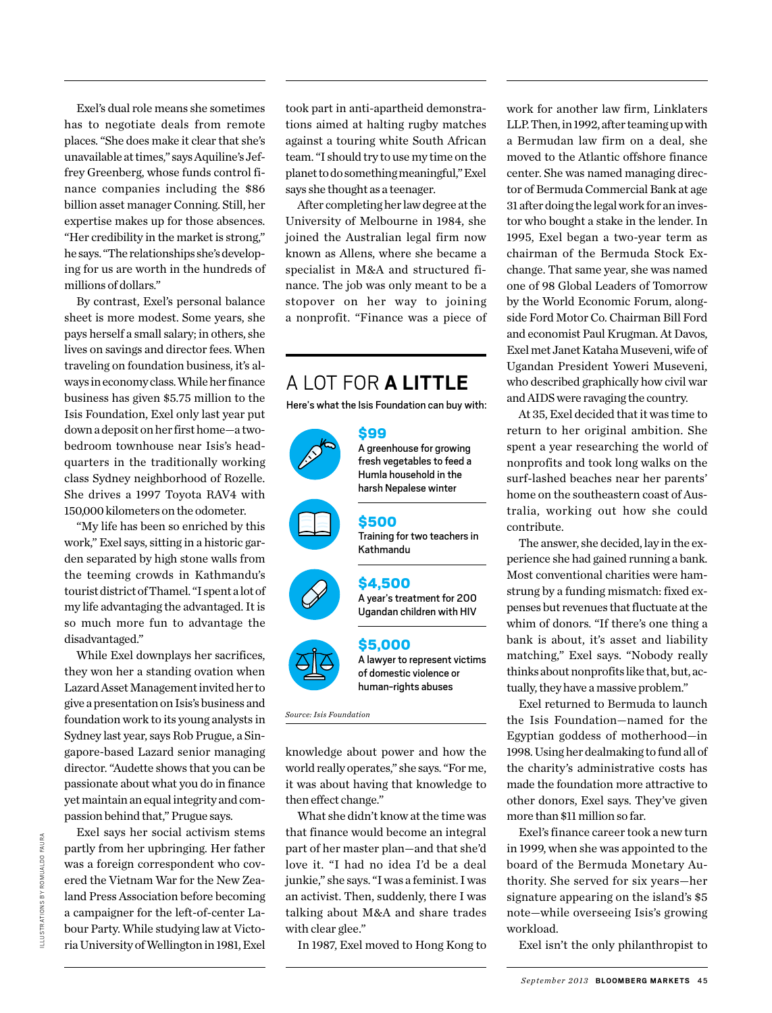Exel's dual role means she sometimes has to negotiate deals from remote places. "She does make it clear that she's unavailable at times," says Aquiline's Jeffrey Greenberg, whose funds control finance companies including the \$86 billion asset manager Conning. Still, her expertise makes up for those absences. "Her credibility in the market is strong," he says. "The relationships she's developing for us are worth in the hundreds of millions of dollars."

By contrast, Exel's personal balance sheet is more modest. Some years, she pays herself a small salary; in others, she lives on savings and director fees. When traveling on foundation business, it's always in economy class. While her finance business has given \$5.75 million to the Isis Foundation, Exel only last year put down a deposit on her first home—a twobedroom townhouse near Isis's headquarters in the traditionally working class Sydney neighborhood of Rozelle. She drives a 1997 Toyota RAV4 with 150,000 kilometers on the odometer.

"My life has been so enriched by this work," Exel says, sitting in a historic garden separated by high stone walls from the teeming crowds in Kathmandu's tourist district of Thamel. "I spent a lot of my life advantaging the advantaged. It is so much more fun to advantage the disadvantaged."

While Exel downplays her sacrifices, they won her a standing ovation when Lazard Asset Management invited her to give a presentation on Isis's business and foundation work to its young analysts in Sydney last year, says Rob Prugue, a Singapore-based Lazard senior managing director. "Audette shows that you can be passionate about what you do in finance yet maintain an equal integrity and compassion behind that," Prugue says.

Exel says her social activism stems partly from her upbringing. Her father was a foreign correspondent who covered the Vietnam War for the New Zealand Press Association before becoming a campaigner for the left-of-center Labour Party. While studying law at Victoria University of Wellington in 1981, Exel took part in anti-apartheid demonstrations aimed at halting rugby matches against a touring white South African team. "I should try to use my time on the planet to do something meaningful," Exel says she thought as a teenager.

After completing her law degree at the University of Melbourne in 1984, she joined the Australian legal firm now known as Allens, where she became a specialist in M&A and structured finance. The job was only meant to be a stopover on her way to joining a nonprofit. "Finance was a piece of

### A Lot for **a little**

Here's what the Isis Foundation can buy with:

#### \$99

A greenhouse for growing fresh vegetables to feed a Humla household in the harsh Nepalese winter

\$500

Training for two teachers in Kathmandu

\$4,500 A year's treatment for 200 Ugandan children with HIV

#### \$5,000

A lawyer to represent victims of domestic violence or human-rights abuses

*Source: Isis Foundation*

knowledge about power and how the world really operates," she says. "For me, it was about having that knowledge to then effect change."

What she didn't know at the time was that finance would become an integral part of her master plan—and that she'd love it. "I had no idea I'd be a deal junkie," she says. "I was a feminist. I was an activist. Then, suddenly, there I was talking about M&A and share trades with clear glee."

In 1987, Exel moved to Hong Kong to

work for another law firm, Linklaters LLP. Then, in 1992, after teaming up with a Bermudan law firm on a deal, she moved to the Atlantic offshore finance center. She was named managing director of Bermuda Commercial Bank at age 31 after doing the legal work for an investor who bought a stake in the lender. In 1995, Exel began a two-year term as chairman of the Bermuda Stock Exchange. That same year, she was named one of 98 Global Leaders of Tomorrow by the World Economic Forum, alongside Ford Motor Co. Chairman Bill Ford and economist Paul Krugman. At Davos, Exel met Janet Kataha Museveni, wife of Ugandan President Yoweri Museveni, who described graphically how civil war and AIDS were ravaging the country.

At 35, Exel decided that it was time to return to her original ambition. She spent a year researching the world of nonprofits and took long walks on the surf-lashed beaches near her parents' home on the southeastern coast of Australia, working out how she could contribute.

The answer, she decided, lay in the experience she had gained running a bank. Most conventional charities were hamstrung by a funding mismatch: fixed expenses but revenues that fluctuate at the whim of donors. "If there's one thing a bank is about, it's asset and liability matching," Exel says. "Nobody really thinks about nonprofits like that, but, actually, they have a massive problem."

Exel returned to Bermuda to launch the Isis Foundation—named for the Egyptian goddess of motherhood—in 1998. Using her dealmaking to fund all of the charity's administrative costs has made the foundation more attractive to other donors, Exel says. They've given more than \$11 million so far.

Exel's finance career took a new turn in 1999, when she was appointed to the board of the Bermuda Monetary Authority. She served for six years—her signature appearing on the island's \$5 note—while overseeing Isis's growing workload.

Exel isn't the only philanthropist to